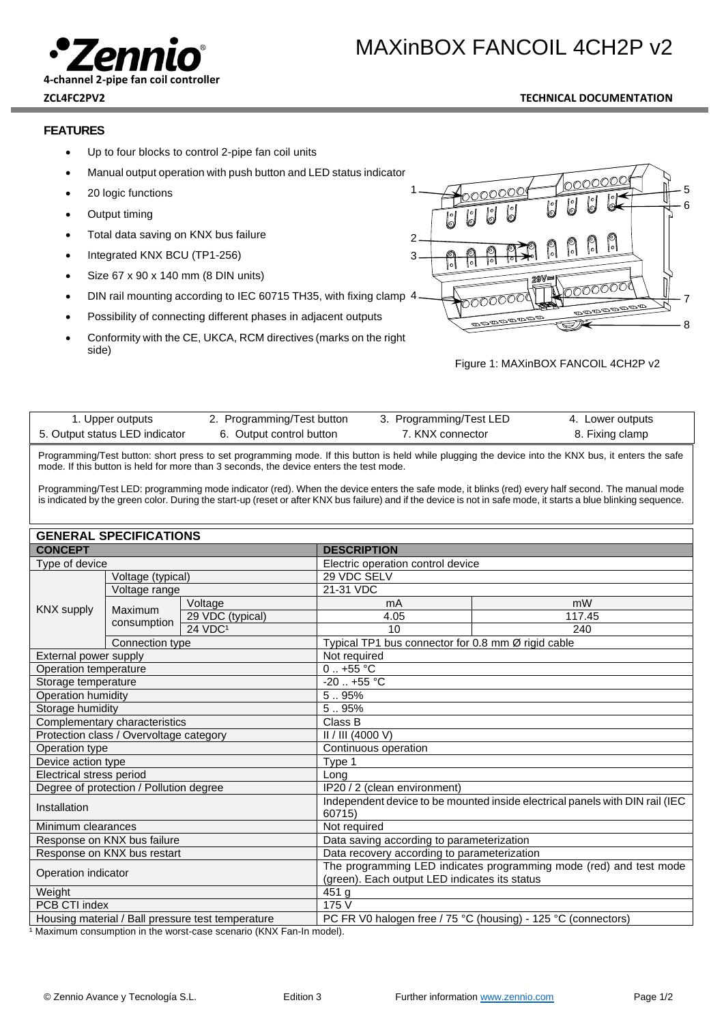

#### **ZCL4FC2PV2 TECHNICAL DOCUMENTATION**

## **FEATURES**

- Up to four blocks to control 2-pipe fan coil units
- Manual output operation with push button and LED status indicator
- 20 logic functions
- Output timing
- Total data saving on KNX bus failure
- Integrated KNX BCU (TP1-256)
- Size 67 x 90 x 140 mm (8 DIN units)
- DIN rail mounting according to IEC 60715 TH35, with fixing clamp 4
- Possibility of connecting different phases in adjacent outputs
- Conformity with the CE, UKCA, RCM directives (marks on the right side)



#### Figure 1: MAXinBOX FANCOIL 4CH2P v2

| 1. Upper outputs               | 2. Programming/Test button | 3. Programming/Test LED | 4. Lower outputs |
|--------------------------------|----------------------------|-------------------------|------------------|
| 5. Output status LED indicator | 6. Output control button   | 7. KNX connector        | 8. Fixing clamp  |

Programming/Test button: short press to set programming mode. If this button is held while plugging the device into the KNX bus, it enters the safe mode. If this button is held for more than 3 seconds, the device enters the test mode.

Programming/Test LED: programming mode indicator (red). When the device enters the safe mode, it blinks (red) every half second. The manual mode is indicated by the green color. During the start-up (reset or after KNX bus failure) and if the device is not in safe mode, it starts a blue blinking sequence.

| <b>GENERAL SPECIFICATIONS</b>                     |                 |                                                                              |                                                               |                                                    |  |  |
|---------------------------------------------------|-----------------|------------------------------------------------------------------------------|---------------------------------------------------------------|----------------------------------------------------|--|--|
| <b>CONCEPT</b>                                    |                 | <b>DESCRIPTION</b>                                                           |                                                               |                                                    |  |  |
| Type of device                                    |                 |                                                                              | Electric operation control device                             |                                                    |  |  |
| Voltage (typical)<br>Voltage range                |                 | 29 VDC SELV                                                                  |                                                               |                                                    |  |  |
|                                                   |                 |                                                                              | 21-31 VDC                                                     |                                                    |  |  |
| <b>KNX supply</b>                                 | Maximum         | Voltage                                                                      | mA                                                            | mW                                                 |  |  |
|                                                   | consumption     | 29 VDC (typical)                                                             | 4.05                                                          | 117.45                                             |  |  |
|                                                   |                 | 24 VDC <sup>1</sup>                                                          | 10                                                            | 240                                                |  |  |
|                                                   | Connection type |                                                                              |                                                               | Typical TP1 bus connector for 0.8 mm Ø rigid cable |  |  |
| External power supply                             |                 | Not required                                                                 |                                                               |                                                    |  |  |
| Operation temperature                             |                 | $0.1 + 55$ °C                                                                |                                                               |                                                    |  |  |
| Storage temperature                               |                 | $-20$ $+55$ °C                                                               |                                                               |                                                    |  |  |
| Operation humidity                                |                 | 595%                                                                         |                                                               |                                                    |  |  |
| Storage humidity                                  |                 | 5.95%                                                                        |                                                               |                                                    |  |  |
| Complementary characteristics                     |                 | Class B                                                                      |                                                               |                                                    |  |  |
| Protection class / Overvoltage category           |                 | II / III (4000 V)                                                            |                                                               |                                                    |  |  |
| Operation type                                    |                 | Continuous operation                                                         |                                                               |                                                    |  |  |
| Device action type                                |                 | Type 1                                                                       |                                                               |                                                    |  |  |
| Electrical stress period                          |                 | Long                                                                         |                                                               |                                                    |  |  |
| Degree of protection / Pollution degree           |                 | IP20 / 2 (clean environment)                                                 |                                                               |                                                    |  |  |
| Installation                                      |                 | Independent device to be mounted inside electrical panels with DIN rail (IEC |                                                               |                                                    |  |  |
|                                                   |                 | 60715)                                                                       |                                                               |                                                    |  |  |
| Minimum clearances                                |                 | Not required                                                                 |                                                               |                                                    |  |  |
| Response on KNX bus failure                       |                 | Data saving according to parameterization                                    |                                                               |                                                    |  |  |
| Response on KNX bus restart                       |                 | Data recovery according to parameterization                                  |                                                               |                                                    |  |  |
| Operation indicator                               |                 | The programming LED indicates programming mode (red) and test mode           |                                                               |                                                    |  |  |
|                                                   |                 | (green). Each output LED indicates its status                                |                                                               |                                                    |  |  |
| Weight<br>PCB CTI index                           |                 | 451 <sub>g</sub><br>175V                                                     |                                                               |                                                    |  |  |
|                                                   |                 |                                                                              |                                                               |                                                    |  |  |
| Housing material / Ball pressure test temperature |                 |                                                                              | PC FR V0 halogen free / 75 °C (housing) - 125 °C (connectors) |                                                    |  |  |

1 Maximum consumption in the worst-case scenario (KNX Fan-In model).